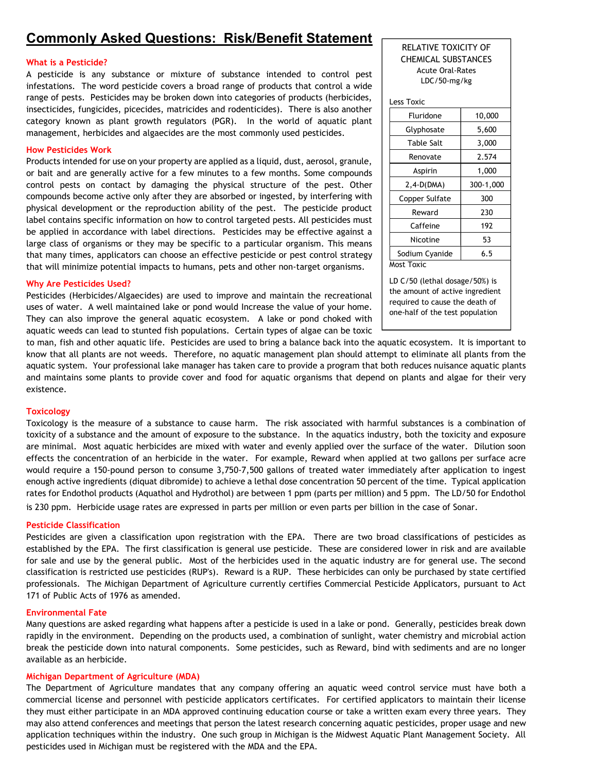# Commonly Asked Questions: Risk/Benefit Statement

# What is a Pesticide?

A pesticide is any substance or mixture of substance intended to control pest infestations. The word pesticide covers a broad range of products that control a wide range of pests. Pesticides may be broken down into categories of products (herbicides, insecticides, fungicides, picecides, matricides and rodenticides). There is also another category known as plant growth regulators (PGR). In the world of aquatic plant management, herbicides and algaecides are the most commonly used pesticides.

#### How Pesticides Work

Products intended for use on your property are applied as a liquid, dust, aerosol, granule, or bait and are generally active for a few minutes to a few months. Some compounds control pests on contact by damaging the physical structure of the pest. Other compounds become active only after they are absorbed or ingested, by interfering with physical development or the reproduction ability of the pest. The pesticide product label contains specific information on how to control targeted pests. All pesticides must be applied in accordance with label directions. Pesticides may be effective against a large class of organisms or they may be specific to a particular organism. This means that many times, applicators can choose an effective pesticide or pest control strategy that will minimize potential impacts to humans, pets and other non-target organisms.

#### Why Are Pesticides Used?

Pesticides (Herbicides/Algaecides) are used to improve and maintain the recreational uses of water. A well maintained lake or pond would Increase the value of your home. They can also improve the general aquatic ecosystem. A lake or pond choked with aquatic weeds can lead to stunted fish populations. Certain types of algae can be toxic

# RELATIVE TOXICITY OF CHEMICAL SUBSTANCES Acute Oral-Rates LDC/50-mg/kg

| Less Toxic     |           |
|----------------|-----------|
| Fluridone      | 10,000    |
| Glyphosate     | 5,600     |
| Table Salt     | 3,000     |
| Renovate       | 2.574     |
| Aspirin        | 1,000     |
| 2,4-D(DMA)     | 300-1,000 |
| Copper Sulfate | 300       |
| Reward         | 230       |
| Caffeine       | 192       |
| Nicotine       | 53        |
| Sodium Cyanide | 6.5       |
| Most Toxic     |           |

LD C/50 (lethal dosage/50%) is the amount of active ingredient required to cause the death of one-half of the test population

to man, fish and other aquatic life. Pesticides are used to bring a balance back into the aquatic ecosystem. It is important to know that all plants are not weeds. Therefore, no aquatic management plan should attempt to eliminate all plants from the aquatic system. Your professional lake manager has taken care to provide a program that both reduces nuisance aquatic plants and maintains some plants to provide cover and food for aquatic organisms that depend on plants and algae for their very existence.

# **Toxicology**

Toxicology is the measure of a substance to cause harm. The risk associated with harmful substances is a combination of toxicity of a substance and the amount of exposure to the substance. In the aquatics industry, both the toxicity and exposure are minimal. Most aquatic herbicides are mixed with water and evenly applied over the surface of the water. Dilution soon effects the concentration of an herbicide in the water. For example, Reward when applied at two gallons per surface acre would require a 150-pound person to consume 3,750-7,500 gallons of treated water immediately after application to ingest enough active ingredients (diquat dibromide) to achieve a lethal dose concentration 50 percent of the time. Typical application rates for Endothol products (Aquathol and Hydrothol) are between 1 ppm (parts per million) and 5 ppm. The LD/50 for Endothol is 230 ppm. Herbicide usage rates are expressed in parts per million or even parts per billion in the case of Sonar.

# Pesticide Classification

Pesticides are given a classification upon registration with the EPA. There are two broad classifications of pesticides as established by the EPA. The first classification is general use pesticide. These are considered lower in risk and are available for sale and use by the general public. Most of the herbicides used in the aquatic industry are for general use. The second classification is restricted use pesticides (RUP's). Reward is a RUP. These herbicides can only be purchased by state certified professionals. The Michigan Department of Agriculture currently certifies Commercial Pesticide Applicators, pursuant to Act 171 of Public Acts of 1976 as amended.

#### Environmental Fate

Many questions are asked regarding what happens after a pesticide is used in a lake or pond. Generally, pesticides break down rapidly in the environment. Depending on the products used, a combination of sunlight, water chemistry and microbial action break the pesticide down into natural components. Some pesticides, such as Reward, bind with sediments and are no longer available as an herbicide.

# Michigan Department of Agriculture (MDA)

The Department of Agriculture mandates that any company offering an aquatic weed control service must have both a commercial license and personnel with pesticide applicators certificates. For certified applicators to maintain their license they must either participate in an MDA approved continuing education course or take a written exam every three years. They may also attend conferences and meetings that person the latest research concerning aquatic pesticides, proper usage and new application techniques within the industry. One such group in Michigan is the Midwest Aquatic Plant Management Society. All pesticides used in Michigan must be registered with the MDA and the EPA.